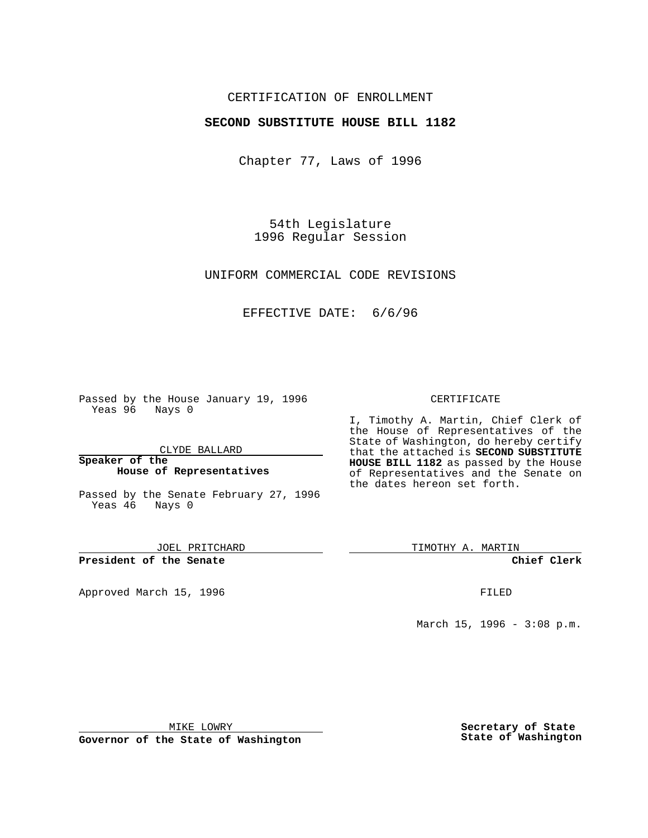## CERTIFICATION OF ENROLLMENT

## **SECOND SUBSTITUTE HOUSE BILL 1182**

Chapter 77, Laws of 1996

54th Legislature 1996 Regular Session

UNIFORM COMMERCIAL CODE REVISIONS

## EFFECTIVE DATE: 6/6/96

Passed by the House January 19, 1996 Yeas 96 Nays 0

CLYDE BALLARD

**Speaker of the House of Representatives**

Passed by the Senate February 27, 1996 Yeas 46 Nays 0

JOEL PRITCHARD

**President of the Senate**

Approved March 15, 1996 **FILED** 

### CERTIFICATE

I, Timothy A. Martin, Chief Clerk of the House of Representatives of the State of Washington, do hereby certify that the attached is **SECOND SUBSTITUTE HOUSE BILL 1182** as passed by the House of Representatives and the Senate on the dates hereon set forth.

TIMOTHY A. MARTIN

**Chief Clerk**

March 15, 1996 - 3:08 p.m.

MIKE LOWRY

**Governor of the State of Washington**

**Secretary of State State of Washington**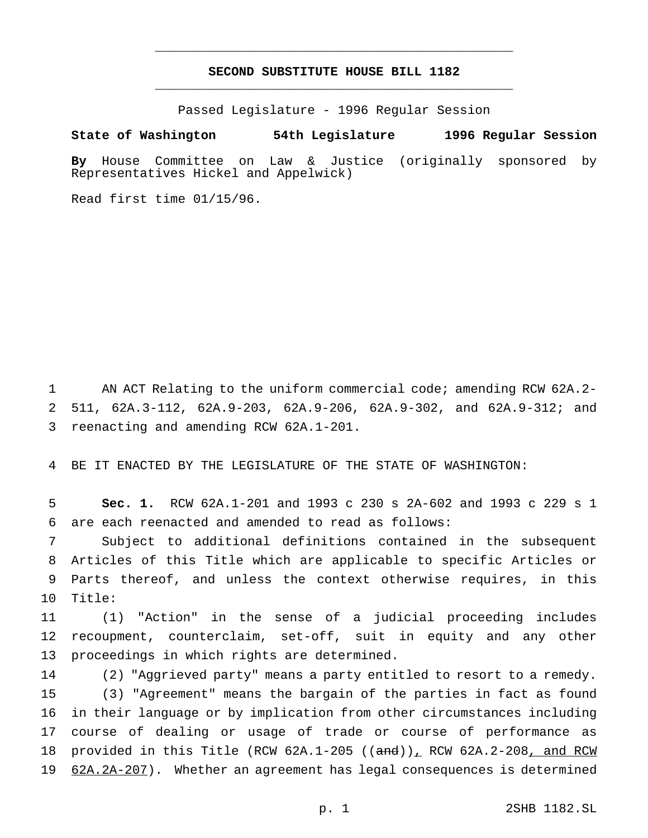# **SECOND SUBSTITUTE HOUSE BILL 1182** \_\_\_\_\_\_\_\_\_\_\_\_\_\_\_\_\_\_\_\_\_\_\_\_\_\_\_\_\_\_\_\_\_\_\_\_\_\_\_\_\_\_\_\_\_\_\_

\_\_\_\_\_\_\_\_\_\_\_\_\_\_\_\_\_\_\_\_\_\_\_\_\_\_\_\_\_\_\_\_\_\_\_\_\_\_\_\_\_\_\_\_\_\_\_

Passed Legislature - 1996 Regular Session

#### **State of Washington 54th Legislature 1996 Regular Session**

**By** House Committee on Law & Justice (originally sponsored by Representatives Hickel and Appelwick)

Read first time 01/15/96.

 AN ACT Relating to the uniform commercial code; amending RCW 62A.2- 511, 62A.3-112, 62A.9-203, 62A.9-206, 62A.9-302, and 62A.9-312; and reenacting and amending RCW 62A.1-201.

BE IT ENACTED BY THE LEGISLATURE OF THE STATE OF WASHINGTON:

 **Sec. 1.** RCW 62A.1-201 and 1993 c 230 s 2A-602 and 1993 c 229 s 1 are each reenacted and amended to read as follows:

 Subject to additional definitions contained in the subsequent Articles of this Title which are applicable to specific Articles or Parts thereof, and unless the context otherwise requires, in this Title:

 (1) "Action" in the sense of a judicial proceeding includes recoupment, counterclaim, set-off, suit in equity and any other proceedings in which rights are determined.

 (2) "Aggrieved party" means a party entitled to resort to a remedy. (3) "Agreement" means the bargain of the parties in fact as found in their language or by implication from other circumstances including course of dealing or usage of trade or course of performance as 18 provided in this Title (RCW 62A.1-205 ((and)), RCW 62A.2-208, and RCW 19 62A.2A-207). Whether an agreement has legal consequences is determined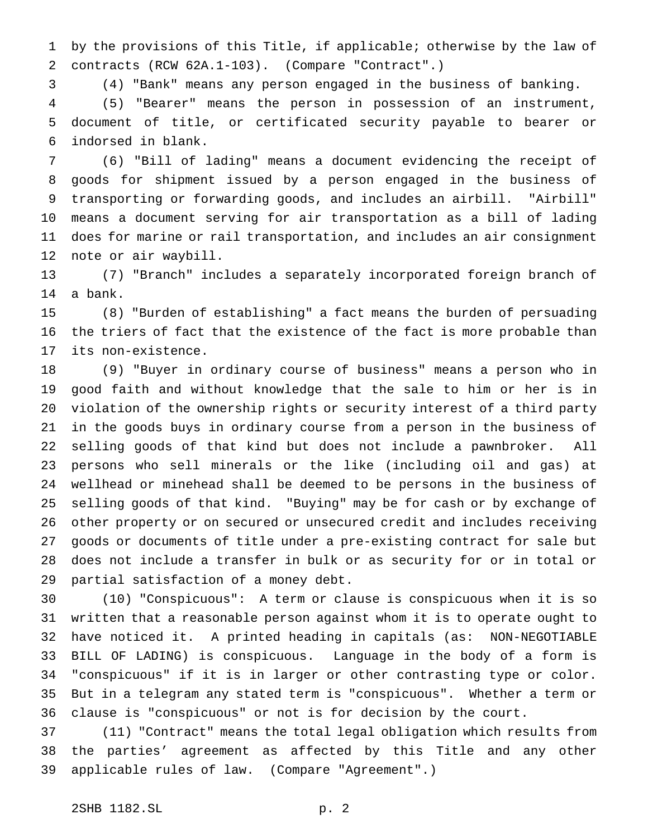by the provisions of this Title, if applicable; otherwise by the law of contracts (RCW 62A.1-103). (Compare "Contract".)

 (4) "Bank" means any person engaged in the business of banking. (5) "Bearer" means the person in possession of an instrument, document of title, or certificated security payable to bearer or indorsed in blank.

 (6) "Bill of lading" means a document evidencing the receipt of goods for shipment issued by a person engaged in the business of transporting or forwarding goods, and includes an airbill. "Airbill" means a document serving for air transportation as a bill of lading does for marine or rail transportation, and includes an air consignment note or air waybill.

 (7) "Branch" includes a separately incorporated foreign branch of a bank.

 (8) "Burden of establishing" a fact means the burden of persuading the triers of fact that the existence of the fact is more probable than its non-existence.

 (9) "Buyer in ordinary course of business" means a person who in good faith and without knowledge that the sale to him or her is in violation of the ownership rights or security interest of a third party in the goods buys in ordinary course from a person in the business of selling goods of that kind but does not include a pawnbroker. All persons who sell minerals or the like (including oil and gas) at wellhead or minehead shall be deemed to be persons in the business of selling goods of that kind. "Buying" may be for cash or by exchange of other property or on secured or unsecured credit and includes receiving goods or documents of title under a pre-existing contract for sale but does not include a transfer in bulk or as security for or in total or partial satisfaction of a money debt.

 (10) "Conspicuous": A term or clause is conspicuous when it is so written that a reasonable person against whom it is to operate ought to have noticed it. A printed heading in capitals (as: NON-NEGOTIABLE BILL OF LADING) is conspicuous. Language in the body of a form is "conspicuous" if it is in larger or other contrasting type or color. But in a telegram any stated term is "conspicuous". Whether a term or clause is "conspicuous" or not is for decision by the court.

 (11) "Contract" means the total legal obligation which results from the parties' agreement as affected by this Title and any other applicable rules of law. (Compare "Agreement".)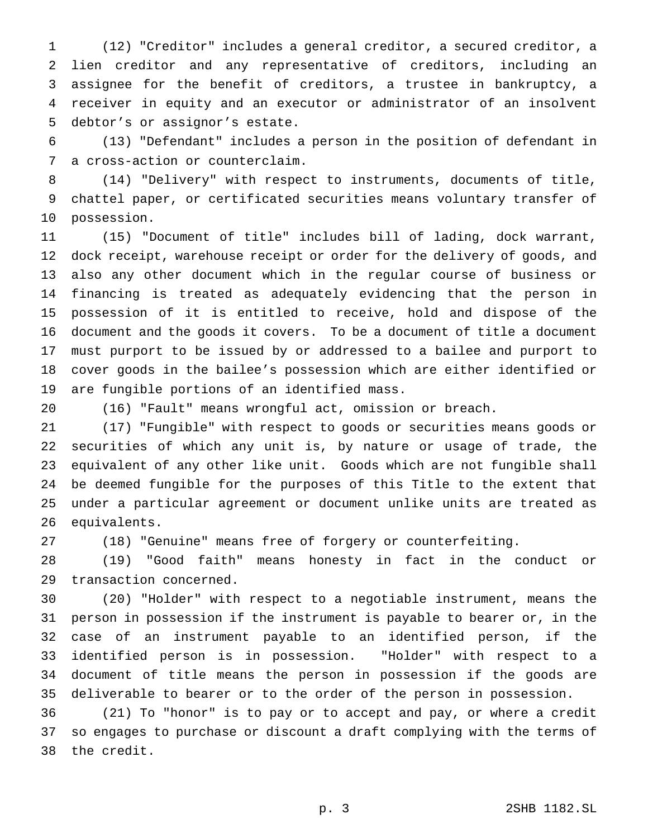(12) "Creditor" includes a general creditor, a secured creditor, a lien creditor and any representative of creditors, including an assignee for the benefit of creditors, a trustee in bankruptcy, a receiver in equity and an executor or administrator of an insolvent debtor's or assignor's estate.

 (13) "Defendant" includes a person in the position of defendant in a cross-action or counterclaim.

 (14) "Delivery" with respect to instruments, documents of title, chattel paper, or certificated securities means voluntary transfer of possession.

 (15) "Document of title" includes bill of lading, dock warrant, dock receipt, warehouse receipt or order for the delivery of goods, and also any other document which in the regular course of business or financing is treated as adequately evidencing that the person in possession of it is entitled to receive, hold and dispose of the document and the goods it covers. To be a document of title a document must purport to be issued by or addressed to a bailee and purport to cover goods in the bailee's possession which are either identified or are fungible portions of an identified mass.

(16) "Fault" means wrongful act, omission or breach.

 (17) "Fungible" with respect to goods or securities means goods or securities of which any unit is, by nature or usage of trade, the equivalent of any other like unit. Goods which are not fungible shall be deemed fungible for the purposes of this Title to the extent that under a particular agreement or document unlike units are treated as equivalents.

(18) "Genuine" means free of forgery or counterfeiting.

 (19) "Good faith" means honesty in fact in the conduct or transaction concerned.

 (20) "Holder" with respect to a negotiable instrument, means the person in possession if the instrument is payable to bearer or, in the case of an instrument payable to an identified person, if the identified person is in possession. "Holder" with respect to a document of title means the person in possession if the goods are deliverable to bearer or to the order of the person in possession.

 (21) To "honor" is to pay or to accept and pay, or where a credit so engages to purchase or discount a draft complying with the terms of the credit.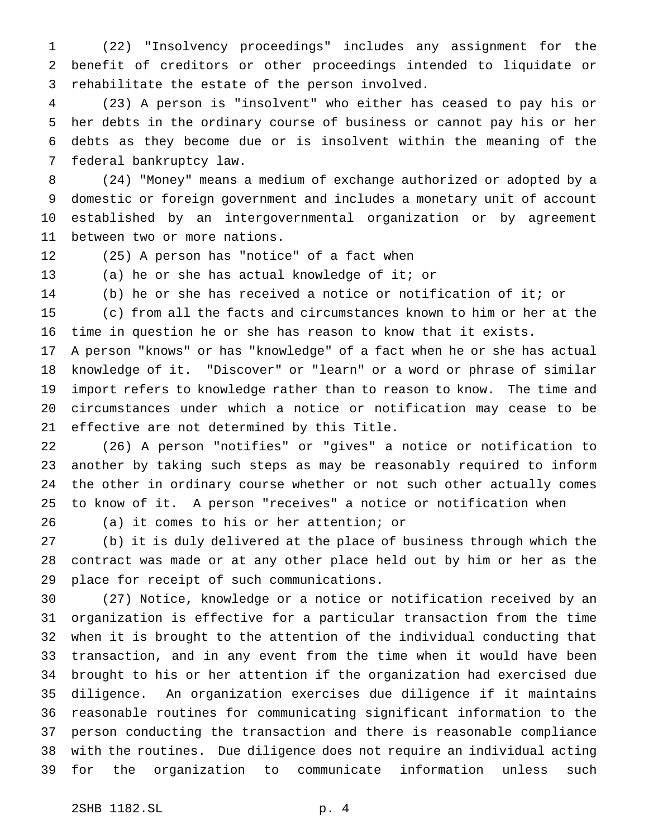(22) "Insolvency proceedings" includes any assignment for the benefit of creditors or other proceedings intended to liquidate or rehabilitate the estate of the person involved.

 (23) A person is "insolvent" who either has ceased to pay his or her debts in the ordinary course of business or cannot pay his or her debts as they become due or is insolvent within the meaning of the federal bankruptcy law.

 (24) "Money" means a medium of exchange authorized or adopted by a domestic or foreign government and includes a monetary unit of account established by an intergovernmental organization or by agreement between two or more nations.

(25) A person has "notice" of a fact when

(a) he or she has actual knowledge of it; or

(b) he or she has received a notice or notification of it; or

 (c) from all the facts and circumstances known to him or her at the time in question he or she has reason to know that it exists.

 A person "knows" or has "knowledge" of a fact when he or she has actual knowledge of it. "Discover" or "learn" or a word or phrase of similar import refers to knowledge rather than to reason to know. The time and circumstances under which a notice or notification may cease to be effective are not determined by this Title.

 (26) A person "notifies" or "gives" a notice or notification to another by taking such steps as may be reasonably required to inform the other in ordinary course whether or not such other actually comes to know of it. A person "receives" a notice or notification when

(a) it comes to his or her attention; or

 (b) it is duly delivered at the place of business through which the contract was made or at any other place held out by him or her as the place for receipt of such communications.

 (27) Notice, knowledge or a notice or notification received by an organization is effective for a particular transaction from the time when it is brought to the attention of the individual conducting that transaction, and in any event from the time when it would have been brought to his or her attention if the organization had exercised due diligence. An organization exercises due diligence if it maintains reasonable routines for communicating significant information to the person conducting the transaction and there is reasonable compliance with the routines. Due diligence does not require an individual acting for the organization to communicate information unless such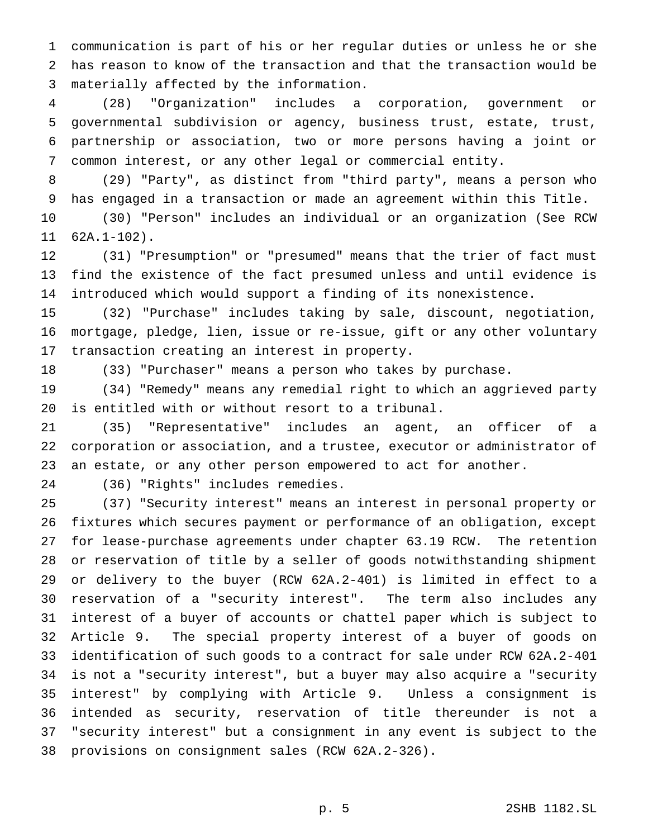communication is part of his or her regular duties or unless he or she has reason to know of the transaction and that the transaction would be materially affected by the information.

 (28) "Organization" includes a corporation, government or governmental subdivision or agency, business trust, estate, trust, partnership or association, two or more persons having a joint or common interest, or any other legal or commercial entity.

 (29) "Party", as distinct from "third party", means a person who has engaged in a transaction or made an agreement within this Title.

 (30) "Person" includes an individual or an organization (See RCW 62A.1-102).

 (31) "Presumption" or "presumed" means that the trier of fact must find the existence of the fact presumed unless and until evidence is introduced which would support a finding of its nonexistence.

 (32) "Purchase" includes taking by sale, discount, negotiation, mortgage, pledge, lien, issue or re-issue, gift or any other voluntary transaction creating an interest in property.

(33) "Purchaser" means a person who takes by purchase.

 (34) "Remedy" means any remedial right to which an aggrieved party is entitled with or without resort to a tribunal.

 (35) "Representative" includes an agent, an officer of a corporation or association, and a trustee, executor or administrator of an estate, or any other person empowered to act for another.

(36) "Rights" includes remedies.

 (37) "Security interest" means an interest in personal property or fixtures which secures payment or performance of an obligation, except for lease-purchase agreements under chapter 63.19 RCW. The retention or reservation of title by a seller of goods notwithstanding shipment or delivery to the buyer (RCW 62A.2-401) is limited in effect to a reservation of a "security interest". The term also includes any interest of a buyer of accounts or chattel paper which is subject to Article 9. The special property interest of a buyer of goods on identification of such goods to a contract for sale under RCW 62A.2-401 is not a "security interest", but a buyer may also acquire a "security interest" by complying with Article 9. Unless a consignment is intended as security, reservation of title thereunder is not a "security interest" but a consignment in any event is subject to the provisions on consignment sales (RCW 62A.2-326).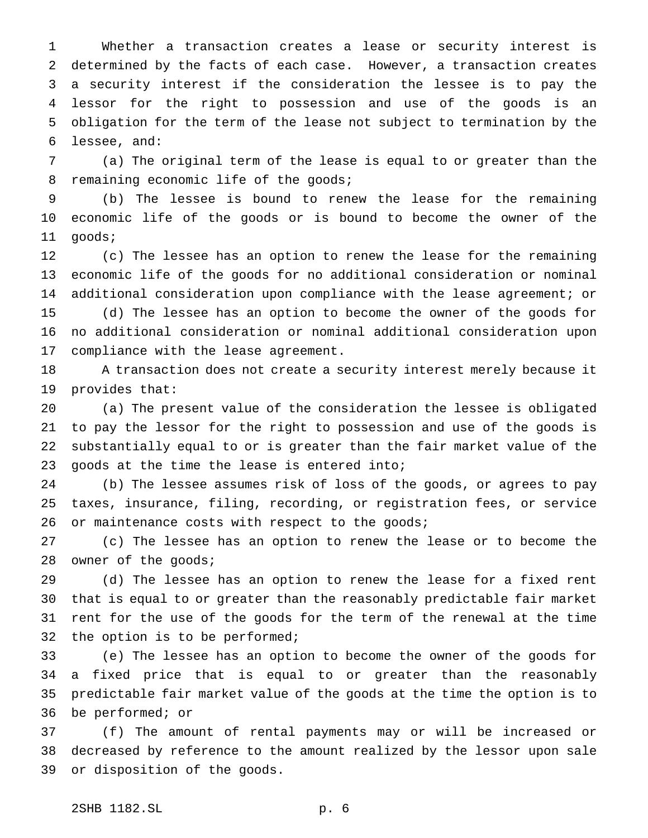Whether a transaction creates a lease or security interest is determined by the facts of each case. However, a transaction creates a security interest if the consideration the lessee is to pay the lessor for the right to possession and use of the goods is an obligation for the term of the lease not subject to termination by the lessee, and:

 (a) The original term of the lease is equal to or greater than the remaining economic life of the goods;

 (b) The lessee is bound to renew the lease for the remaining economic life of the goods or is bound to become the owner of the goods;

 (c) The lessee has an option to renew the lease for the remaining economic life of the goods for no additional consideration or nominal additional consideration upon compliance with the lease agreement; or (d) The lessee has an option to become the owner of the goods for no additional consideration or nominal additional consideration upon compliance with the lease agreement.

 A transaction does not create a security interest merely because it provides that:

 (a) The present value of the consideration the lessee is obligated to pay the lessor for the right to possession and use of the goods is substantially equal to or is greater than the fair market value of the goods at the time the lease is entered into;

 (b) The lessee assumes risk of loss of the goods, or agrees to pay taxes, insurance, filing, recording, or registration fees, or service 26 or maintenance costs with respect to the goods;

 (c) The lessee has an option to renew the lease or to become the owner of the goods;

 (d) The lessee has an option to renew the lease for a fixed rent that is equal to or greater than the reasonably predictable fair market rent for the use of the goods for the term of the renewal at the time the option is to be performed;

 (e) The lessee has an option to become the owner of the goods for a fixed price that is equal to or greater than the reasonably predictable fair market value of the goods at the time the option is to be performed; or

 (f) The amount of rental payments may or will be increased or decreased by reference to the amount realized by the lessor upon sale or disposition of the goods.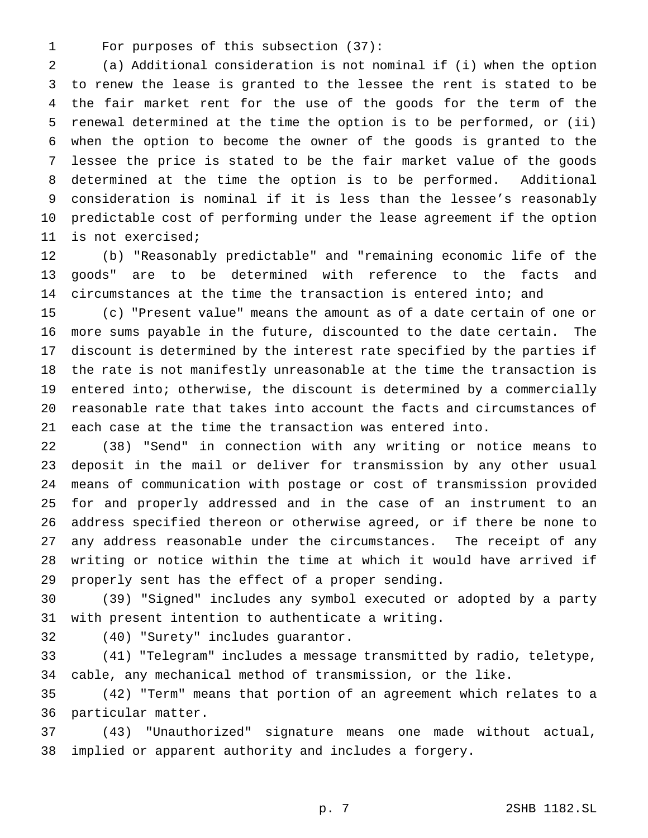For purposes of this subsection (37):

 (a) Additional consideration is not nominal if (i) when the option to renew the lease is granted to the lessee the rent is stated to be the fair market rent for the use of the goods for the term of the renewal determined at the time the option is to be performed, or (ii) when the option to become the owner of the goods is granted to the lessee the price is stated to be the fair market value of the goods determined at the time the option is to be performed. Additional consideration is nominal if it is less than the lessee's reasonably predictable cost of performing under the lease agreement if the option is not exercised;

 (b) "Reasonably predictable" and "remaining economic life of the goods" are to be determined with reference to the facts and circumstances at the time the transaction is entered into; and

 (c) "Present value" means the amount as of a date certain of one or more sums payable in the future, discounted to the date certain. The discount is determined by the interest rate specified by the parties if the rate is not manifestly unreasonable at the time the transaction is entered into; otherwise, the discount is determined by a commercially reasonable rate that takes into account the facts and circumstances of each case at the time the transaction was entered into.

 (38) "Send" in connection with any writing or notice means to deposit in the mail or deliver for transmission by any other usual means of communication with postage or cost of transmission provided for and properly addressed and in the case of an instrument to an address specified thereon or otherwise agreed, or if there be none to any address reasonable under the circumstances. The receipt of any writing or notice within the time at which it would have arrived if properly sent has the effect of a proper sending.

 (39) "Signed" includes any symbol executed or adopted by a party with present intention to authenticate a writing.

(40) "Surety" includes guarantor.

 (41) "Telegram" includes a message transmitted by radio, teletype, cable, any mechanical method of transmission, or the like.

 (42) "Term" means that portion of an agreement which relates to a particular matter.

 (43) "Unauthorized" signature means one made without actual, implied or apparent authority and includes a forgery.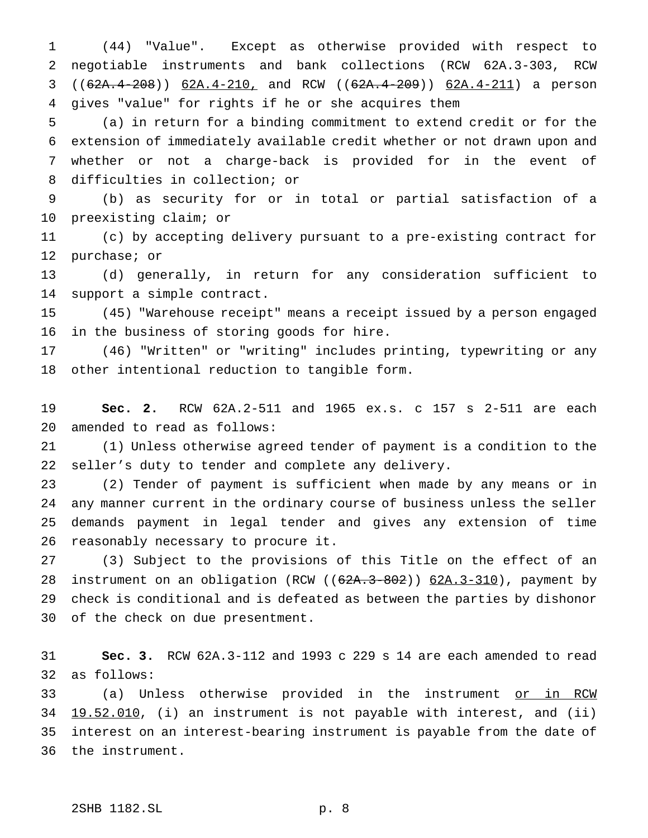(44) "Value". Except as otherwise provided with respect to negotiable instruments and bank collections (RCW 62A.3-303, RCW 3 ((62A.4-208)) 62A.4-210, and RCW ((62A.4-209)) 62A.4-211) a person gives "value" for rights if he or she acquires them

 (a) in return for a binding commitment to extend credit or for the extension of immediately available credit whether or not drawn upon and whether or not a charge-back is provided for in the event of difficulties in collection; or

 (b) as security for or in total or partial satisfaction of a preexisting claim; or

 (c) by accepting delivery pursuant to a pre-existing contract for purchase; or

 (d) generally, in return for any consideration sufficient to support a simple contract.

 (45) "Warehouse receipt" means a receipt issued by a person engaged in the business of storing goods for hire.

 (46) "Written" or "writing" includes printing, typewriting or any other intentional reduction to tangible form.

 **Sec. 2.** RCW 62A.2-511 and 1965 ex.s. c 157 s 2-511 are each amended to read as follows:

 (1) Unless otherwise agreed tender of payment is a condition to the seller's duty to tender and complete any delivery.

 (2) Tender of payment is sufficient when made by any means or in any manner current in the ordinary course of business unless the seller demands payment in legal tender and gives any extension of time reasonably necessary to procure it.

 (3) Subject to the provisions of this Title on the effect of an 28 instrument on an obligation (RCW ((<del>62A.3-802</del>)) 62A.3-310), payment by check is conditional and is defeated as between the parties by dishonor of the check on due presentment.

 **Sec. 3.** RCW 62A.3-112 and 1993 c 229 s 14 are each amended to read as follows:

 (a) Unless otherwise provided in the instrument or in RCW 34 19.52.010, (i) an instrument is not payable with interest, and (ii) interest on an interest-bearing instrument is payable from the date of the instrument.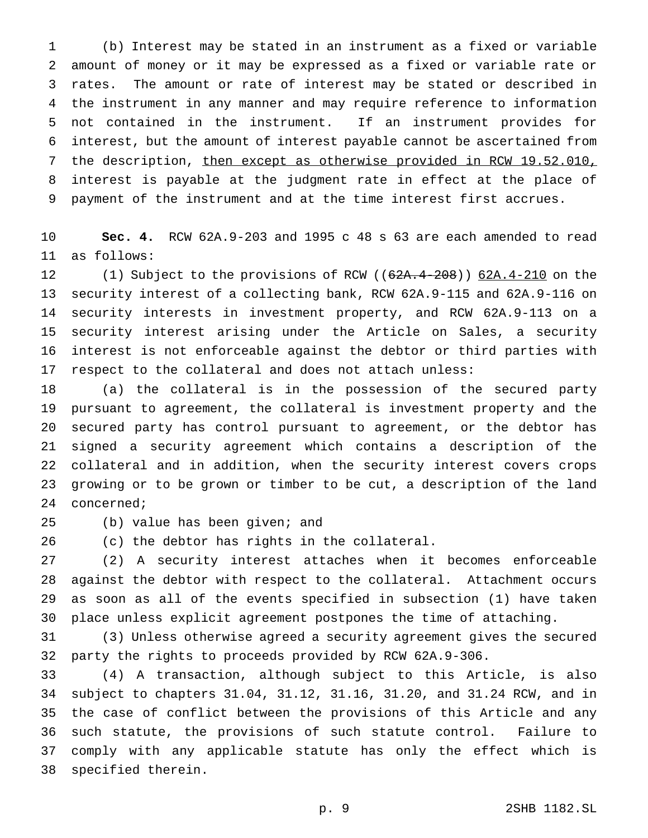(b) Interest may be stated in an instrument as a fixed or variable amount of money or it may be expressed as a fixed or variable rate or rates. The amount or rate of interest may be stated or described in the instrument in any manner and may require reference to information not contained in the instrument. If an instrument provides for interest, but the amount of interest payable cannot be ascertained from 7 the description, then except as otherwise provided in RCW 19.52.010, interest is payable at the judgment rate in effect at the place of payment of the instrument and at the time interest first accrues.

 **Sec. 4.** RCW 62A.9-203 and 1995 c 48 s 63 are each amended to read as follows:

12 (1) Subject to the provisions of RCW ((62A.4-208)) 62A.4-210 on the security interest of a collecting bank, RCW 62A.9-115 and 62A.9-116 on security interests in investment property, and RCW 62A.9-113 on a security interest arising under the Article on Sales, a security interest is not enforceable against the debtor or third parties with respect to the collateral and does not attach unless:

 (a) the collateral is in the possession of the secured party pursuant to agreement, the collateral is investment property and the secured party has control pursuant to agreement, or the debtor has signed a security agreement which contains a description of the collateral and in addition, when the security interest covers crops growing or to be grown or timber to be cut, a description of the land concerned;

(b) value has been given; and

(c) the debtor has rights in the collateral.

 (2) A security interest attaches when it becomes enforceable against the debtor with respect to the collateral. Attachment occurs as soon as all of the events specified in subsection (1) have taken place unless explicit agreement postpones the time of attaching.

 (3) Unless otherwise agreed a security agreement gives the secured party the rights to proceeds provided by RCW 62A.9-306.

 (4) A transaction, although subject to this Article, is also subject to chapters 31.04, 31.12, 31.16, 31.20, and 31.24 RCW, and in the case of conflict between the provisions of this Article and any such statute, the provisions of such statute control. Failure to comply with any applicable statute has only the effect which is specified therein.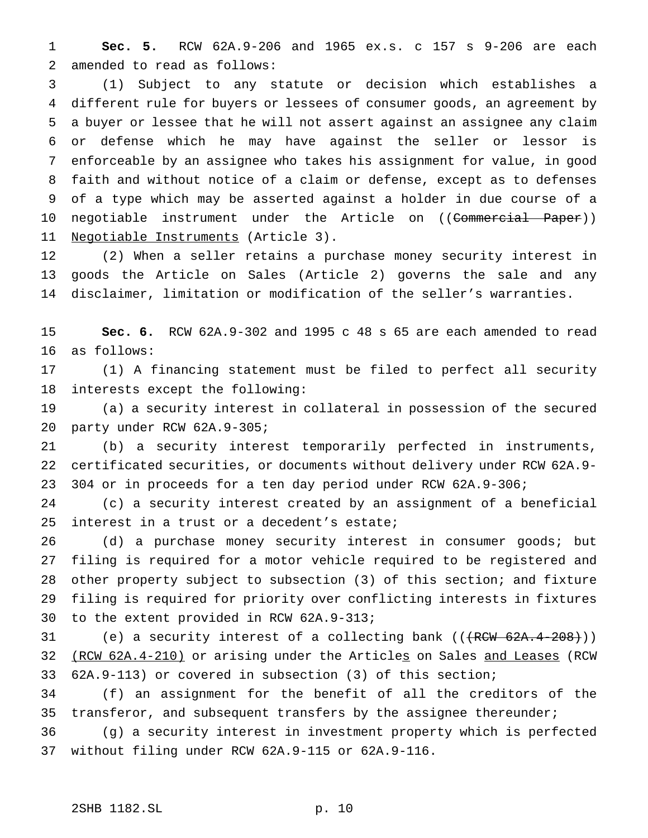**Sec. 5.** RCW 62A.9-206 and 1965 ex.s. c 157 s 9-206 are each amended to read as follows:

 (1) Subject to any statute or decision which establishes a different rule for buyers or lessees of consumer goods, an agreement by a buyer or lessee that he will not assert against an assignee any claim or defense which he may have against the seller or lessor is enforceable by an assignee who takes his assignment for value, in good faith and without notice of a claim or defense, except as to defenses of a type which may be asserted against a holder in due course of a 10 negotiable instrument under the Article on ((Commercial Paper)) 11 Negotiable Instruments (Article 3).

 (2) When a seller retains a purchase money security interest in goods the Article on Sales (Article 2) governs the sale and any disclaimer, limitation or modification of the seller's warranties.

 **Sec. 6.** RCW 62A.9-302 and 1995 c 48 s 65 are each amended to read as follows:

 (1) A financing statement must be filed to perfect all security interests except the following:

 (a) a security interest in collateral in possession of the secured party under RCW 62A.9-305;

 (b) a security interest temporarily perfected in instruments, certificated securities, or documents without delivery under RCW 62A.9- 304 or in proceeds for a ten day period under RCW 62A.9-306;

 (c) a security interest created by an assignment of a beneficial interest in a trust or a decedent's estate;

 (d) a purchase money security interest in consumer goods; but filing is required for a motor vehicle required to be registered and other property subject to subsection (3) of this section; and fixture filing is required for priority over conflicting interests in fixtures to the extent provided in RCW 62A.9-313;

31 (e) a security interest of a collecting bank (( $RCW - 62A.4-208$ )) 32 (RCW 62A.4-210) or arising under the Articles on Sales and Leases (RCW 62A.9-113) or covered in subsection (3) of this section;

 (f) an assignment for the benefit of all the creditors of the 35 transferor, and subsequent transfers by the assignee thereunder;

 (g) a security interest in investment property which is perfected without filing under RCW 62A.9-115 or 62A.9-116.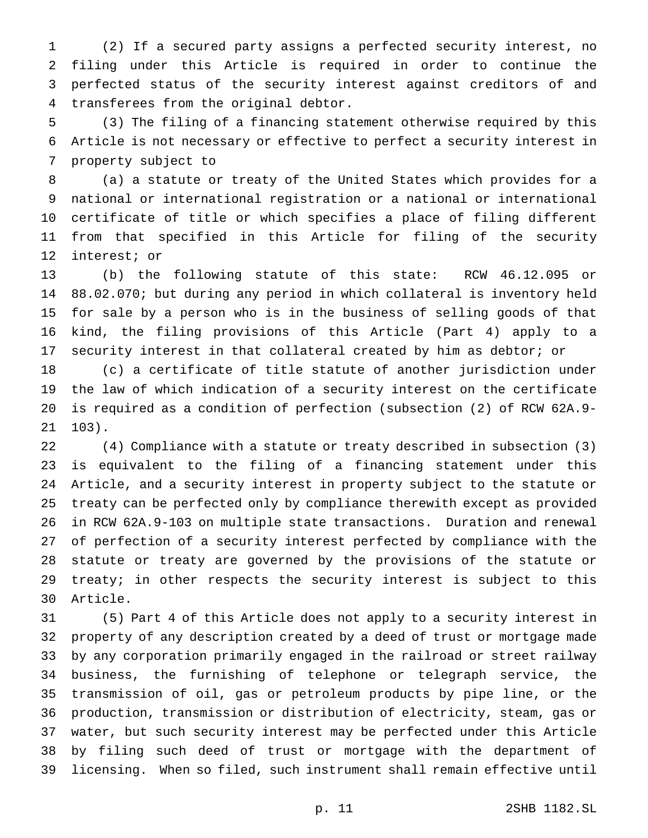(2) If a secured party assigns a perfected security interest, no filing under this Article is required in order to continue the perfected status of the security interest against creditors of and transferees from the original debtor.

 (3) The filing of a financing statement otherwise required by this Article is not necessary or effective to perfect a security interest in property subject to

 (a) a statute or treaty of the United States which provides for a national or international registration or a national or international certificate of title or which specifies a place of filing different from that specified in this Article for filing of the security interest; or

 (b) the following statute of this state: RCW 46.12.095 or 88.02.070; but during any period in which collateral is inventory held for sale by a person who is in the business of selling goods of that kind, the filing provisions of this Article (Part 4) apply to a security interest in that collateral created by him as debtor; or

 (c) a certificate of title statute of another jurisdiction under the law of which indication of a security interest on the certificate is required as a condition of perfection (subsection (2) of RCW 62A.9- 103).

 (4) Compliance with a statute or treaty described in subsection (3) is equivalent to the filing of a financing statement under this Article, and a security interest in property subject to the statute or treaty can be perfected only by compliance therewith except as provided in RCW 62A.9-103 on multiple state transactions. Duration and renewal of perfection of a security interest perfected by compliance with the statute or treaty are governed by the provisions of the statute or treaty; in other respects the security interest is subject to this Article.

 (5) Part 4 of this Article does not apply to a security interest in property of any description created by a deed of trust or mortgage made by any corporation primarily engaged in the railroad or street railway business, the furnishing of telephone or telegraph service, the transmission of oil, gas or petroleum products by pipe line, or the production, transmission or distribution of electricity, steam, gas or water, but such security interest may be perfected under this Article by filing such deed of trust or mortgage with the department of licensing. When so filed, such instrument shall remain effective until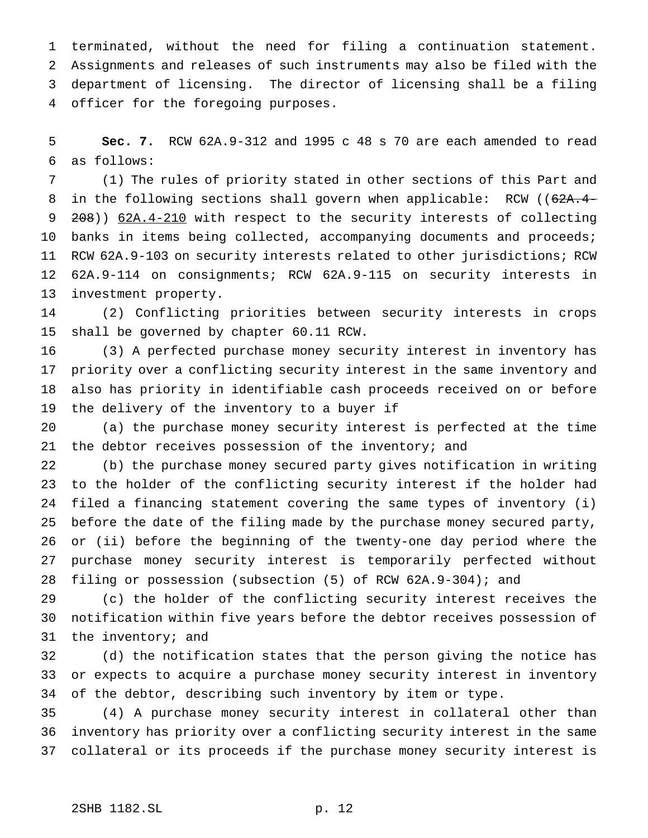terminated, without the need for filing a continuation statement. Assignments and releases of such instruments may also be filed with the department of licensing. The director of licensing shall be a filing officer for the foregoing purposes.

 **Sec. 7.** RCW 62A.9-312 and 1995 c 48 s 70 are each amended to read as follows:

 (1) The rules of priority stated in other sections of this Part and 8 in the following sections shall govern when applicable: RCW ((62A.4-9 208)) 62A.4-210 with respect to the security interests of collecting banks in items being collected, accompanying documents and proceeds; RCW 62A.9-103 on security interests related to other jurisdictions; RCW 62A.9-114 on consignments; RCW 62A.9-115 on security interests in investment property.

 (2) Conflicting priorities between security interests in crops shall be governed by chapter 60.11 RCW.

 (3) A perfected purchase money security interest in inventory has priority over a conflicting security interest in the same inventory and also has priority in identifiable cash proceeds received on or before the delivery of the inventory to a buyer if

 (a) the purchase money security interest is perfected at the time the debtor receives possession of the inventory; and

 (b) the purchase money secured party gives notification in writing to the holder of the conflicting security interest if the holder had filed a financing statement covering the same types of inventory (i) before the date of the filing made by the purchase money secured party, or (ii) before the beginning of the twenty-one day period where the purchase money security interest is temporarily perfected without filing or possession (subsection (5) of RCW 62A.9-304); and

 (c) the holder of the conflicting security interest receives the notification within five years before the debtor receives possession of the inventory; and

 (d) the notification states that the person giving the notice has or expects to acquire a purchase money security interest in inventory of the debtor, describing such inventory by item or type.

 (4) A purchase money security interest in collateral other than inventory has priority over a conflicting security interest in the same collateral or its proceeds if the purchase money security interest is